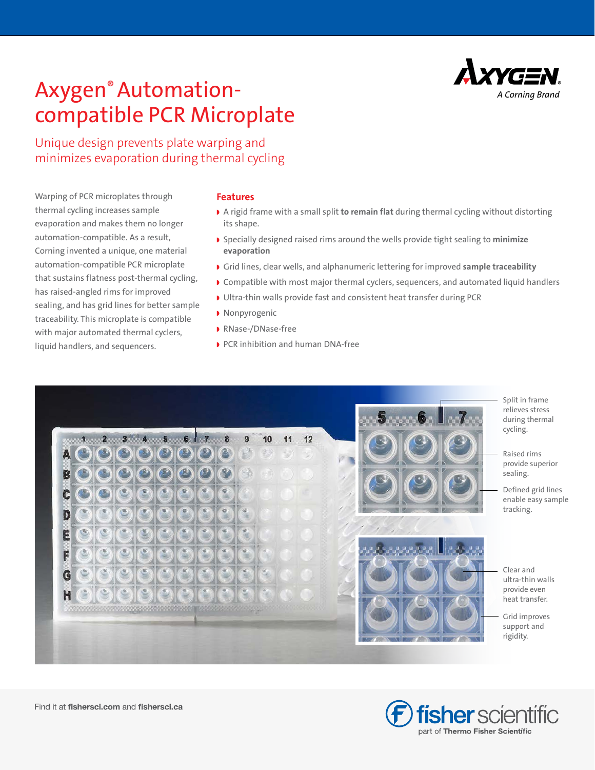# Axygen® Automationcompatible PCR Microplate

Unique design prevents plate warping and minimizes evaporation during thermal cycling

Warping of PCR microplates through thermal cycling increases sample evaporation and makes them no longer automation-compatible. As a result, Corning invented a unique, one material automation-compatible PCR microplate that sustains flatness post-thermal cycling, has raised-angled rims for improved sealing, and has grid lines for better sample traceability. This microplate is compatible with major automated thermal cyclers, liquid handlers, and sequencers.

#### **Features**

- ◗ A rigid frame with a small split **to remain flat** during thermal cycling without distorting its shape.
- ◗ Specially designed raised rims around the wells provide tight sealing to **minimize evaporation**
- ◗ Grid lines, clear wells, and alphanumeric lettering for improved **sample traceability**
- ◗ Compatible with most major thermal cyclers, sequencers, and automated liquid handlers
- ◗ Ultra-thin walls provide fast and consistent heat transfer during PCR
- ◗ Nonpyrogenic
- ◗ RNase-/DNase-free
- ◗ PCR inhibition and human DNA-free